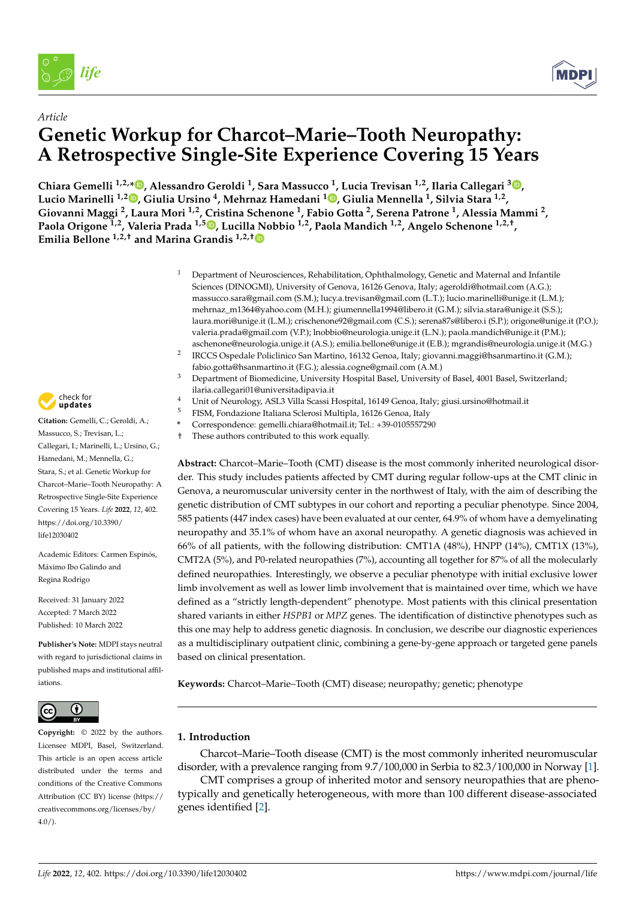



## *Article* **Genetic Workup for Charcot–Marie–Tooth Neuropathy: A Retrospective Single-Site Experience Covering 15 Years**

**Chiara Gemelli 1,2,[\\*](https://orcid.org/0000-0003-1911-2726) , Alessandro Geroldi <sup>1</sup> , Sara Massucco <sup>1</sup> , Lucia Trevisan 1,2, Ilaria Callegari <sup>3</sup> [,](https://orcid.org/0000-0003-3361-3084) Lucio Marinelli 1,2 [,](https://orcid.org/0000-0003-0620-7654) Giulia Ursino <sup>4</sup> , Mehrnaz Hamedani <sup>1</sup> [,](https://orcid.org/0000-0002-9371-4832) Giulia Mennella <sup>1</sup> , Silvia Stara 1,2 , Giovanni Maggi <sup>2</sup> , Laura Mori 1,2, Cristina Schenone <sup>1</sup> , Fabio Gotta <sup>2</sup> , Serena Patrone <sup>1</sup> , Alessia Mammi <sup>2</sup> , Paola Origone 1,2, Valeria Prada 1,5 [,](https://orcid.org/0000-0001-5756-0576) Lucilla Nobbio 1,2, Paola Mandich 1,2, Angelo Schenone 1,2,† , Emilia Bellone 1,2,† and Marina Grandis 1,2,[†](https://orcid.org/0000-0001-6637-4425)**

- <sup>1</sup> Department of Neurosciences, Rehabilitation, Ophthalmology, Genetic and Maternal and Infantile Sciences (DINOGMI), University of Genova, 16126 Genova, Italy; ageroldi@hotmail.com (A.G.); massucco.sara@gmail.com (S.M.); lucy.a.trevisan@gmail.com (L.T.); lucio.marinelli@unige.it (L.M.); mehrnaz\_m1364@yahoo.com (M.H.); giumennella1994@libero.it (G.M.); silvia.stara@unige.it (S.S.); laura.mori@unige.it (L.M.); crischenone92@gmail.com (C.S.); serena87s@libero.i (S.P.); origone@unige.it (P.O.); valeria.prada@gmail.com (V.P.); lnobbio@neurologia.unige.it (L.N.); paola.mandich@unige.it (P.M.); aschenone@neurologia.unige.it (A.S.); emilia.bellone@unige.it (E.B.); mgrandis@neurologia.unige.it (M.G.)
- 2 IRCCS Ospedale Policlinico San Martino, 16132 Genoa, Italy; giovanni.maggi@hsanmartino.it (G.M.); fabio.gotta@hsanmartino.it (F.G.); alessia.cogne@gmail.com (A.M.)
- <sup>3</sup> Department of Biomedicine, University Hospital Basel, University of Basel, 4001 Basel, Switzerland; ilaria.callegari01@universitadipavia.it
- <sup>4</sup> Unit of Neurology, ASL3 Villa Scassi Hospital, 16149 Genoa, Italy; giusi.ursino@hotmail.it
- <sup>5</sup> FISM, Fondazione Italiana Sclerosi Multipla, 16126 Genoa, Italy
- **\*** Correspondence: gemelli.chiara@hotmail.it; Tel.: +39-0105557290
- † These authors contributed to this work equally.

**Abstract:** Charcot–Marie–Tooth (CMT) disease is the most commonly inherited neurological disorder. This study includes patients affected by CMT during regular follow-ups at the CMT clinic in Genova, a neuromuscular university center in the northwest of Italy, with the aim of describing the genetic distribution of CMT subtypes in our cohort and reporting a peculiar phenotype. Since 2004, 585 patients (447 index cases) have been evaluated at our center, 64.9% of whom have a demyelinating neuropathy and 35.1% of whom have an axonal neuropathy. A genetic diagnosis was achieved in 66% of all patients, with the following distribution: CMT1A (48%), HNPP (14%), CMT1X (13%), CMT2A (5%), and P0-related neuropathies (7%), accounting all together for 87% of all the molecularly defined neuropathies. Interestingly, we observe a peculiar phenotype with initial exclusive lower limb involvement as well as lower limb involvement that is maintained over time, which we have defined as a "strictly length-dependent" phenotype. Most patients with this clinical presentation shared variants in either *HSPB1* or *MPZ* genes. The identification of distinctive phenotypes such as this one may help to address genetic diagnosis. In conclusion, we describe our diagnostic experiences as a multidisciplinary outpatient clinic, combining a gene-by-gene approach or targeted gene panels based on clinical presentation.

**Keywords:** Charcot–Marie–Tooth (CMT) disease; neuropathy; genetic; phenotype

## **1. Introduction**

Charcot–Marie–Tooth disease (CMT) is the most commonly inherited neuromuscular disorder, with a prevalence ranging from 9.7/100,000 in Serbia to 82.3/100,000 in Norway [\[1\]](#page-6-0).

CMT comprises a group of inherited motor and sensory neuropathies that are phenotypically and genetically heterogeneous, with more than 100 different disease-associated genes identified [\[2\]](#page-6-1).



**Citation:** Gemelli, C.; Geroldi, A.; Massucco, S.; Trevisan, L.; Callegari, I.; Marinelli, L.; Ursino, G.; Hamedani, M.; Mennella, G.; Stara, S.; et al. Genetic Workup for Charcot–Marie–Tooth Neuropathy: A Retrospective Single-Site Experience Covering 15 Years. *Life* **2022**, *12*, 402. [https://doi.org/10.3390/](https://doi.org/10.3390/life12030402) [life12030402](https://doi.org/10.3390/life12030402) *[life](https://www.mdpi.com/journal/life)*<br> *Article*<br> **Article**<br> **Cenetic V**<br> **Article**<br> **Cenetic V**<br> **Chiara Gemelli<sup>1,</sup>**<br> **Ciovanni Maggi**<br> **Paola Origone**<sup>1,2</sup><br> **Emilia Bellone**<sup>1,2</sup><br> **Emilia Bellone**<sup>1,2</sup><br> **Emilia Bellone**<sup>1,2</sup><br> **Callegari, L.; Marinell** 

Academic Editors: Carmen Espinós, Máximo Ibo Galindo and Regina Rodrigo

Received: 31 January 2022 Accepted: 7 March 2022 Published: 10 March 2022

**Publisher's Note:** MDPI stays neutral with regard to jurisdictional claims in published maps and institutional affiliations.



**Copyright:** © 2022 by the authors. Licensee MDPI, Basel, Switzerland. This article is an open access article distributed under the terms and conditions of the Creative Commons Attribution (CC BY) license [\(https://](https://creativecommons.org/licenses/by/4.0/) [creativecommons.org/licenses/by/](https://creativecommons.org/licenses/by/4.0/)  $4.0/$ ).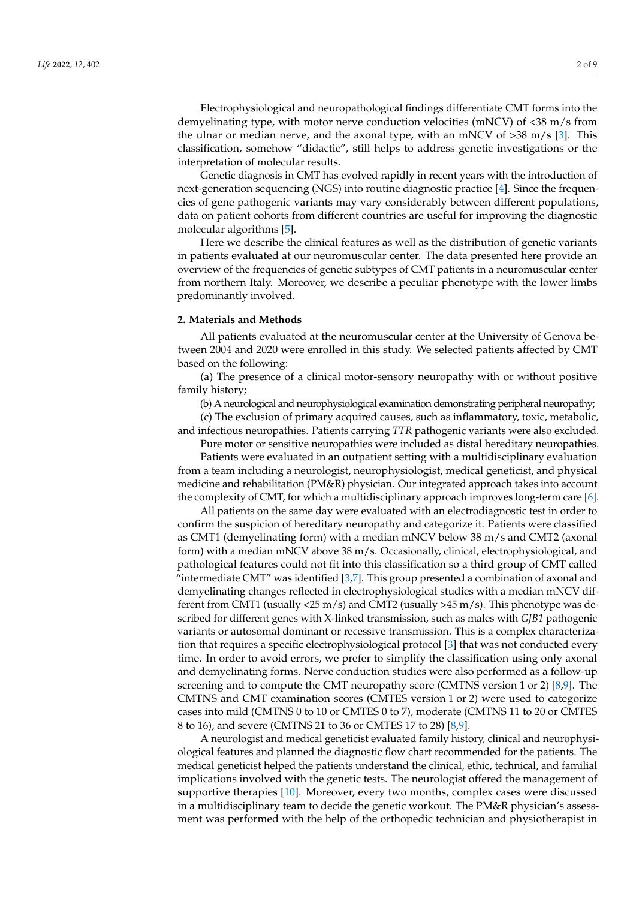Electrophysiological and neuropathological findings differentiate CMT forms into the demyelinating type, with motor nerve conduction velocities (mNCV) of <38 m/s from the ulnar or median nerve, and the axonal type, with an mNCV of  $>38$  m/s [\[3\]](#page-6-2). This classification, somehow "didactic", still helps to address genetic investigations or the interpretation of molecular results.

Genetic diagnosis in CMT has evolved rapidly in recent years with the introduction of next-generation sequencing (NGS) into routine diagnostic practice [\[4\]](#page-6-3). Since the frequencies of gene pathogenic variants may vary considerably between different populations, data on patient cohorts from different countries are useful for improving the diagnostic molecular algorithms [\[5\]](#page-6-4).

Here we describe the clinical features as well as the distribution of genetic variants in patients evaluated at our neuromuscular center. The data presented here provide an overview of the frequencies of genetic subtypes of CMT patients in a neuromuscular center from northern Italy. Moreover, we describe a peculiar phenotype with the lower limbs predominantly involved.

#### **2. Materials and Methods**

All patients evaluated at the neuromuscular center at the University of Genova between 2004 and 2020 were enrolled in this study. We selected patients affected by CMT based on the following:

(a) The presence of a clinical motor-sensory neuropathy with or without positive family history;

(b) A neurological and neurophysiological examination demonstrating peripheral neuropathy;

(c) The exclusion of primary acquired causes, such as inflammatory, toxic, metabolic, and infectious neuropathies. Patients carrying *TTR* pathogenic variants were also excluded.

Pure motor or sensitive neuropathies were included as distal hereditary neuropathies. Patients were evaluated in an outpatient setting with a multidisciplinary evaluation from a team including a neurologist, neurophysiologist, medical geneticist, and physical medicine and rehabilitation (PM&R) physician. Our integrated approach takes into account the complexity of CMT, for which a multidisciplinary approach improves long-term care [\[6\]](#page-6-5).

All patients on the same day were evaluated with an electrodiagnostic test in order to confirm the suspicion of hereditary neuropathy and categorize it. Patients were classified as CMT1 (demyelinating form) with a median mNCV below 38 m/s and CMT2 (axonal form) with a median mNCV above 38 m/s. Occasionally, clinical, electrophysiological, and pathological features could not fit into this classification so a third group of CMT called "intermediate CMT" was identified [\[3,](#page-6-2)[7\]](#page-6-6). This group presented a combination of axonal and demyelinating changes reflected in electrophysiological studies with a median mNCV different from CMT1 (usually <25 m/s) and CMT2 (usually >45 m/s). This phenotype was described for different genes with X-linked transmission, such as males with *GJB1* pathogenic variants or autosomal dominant or recessive transmission. This is a complex characterization that requires a specific electrophysiological protocol [\[3\]](#page-6-2) that was not conducted every time. In order to avoid errors, we prefer to simplify the classification using only axonal and demyelinating forms. Nerve conduction studies were also performed as a follow-up screening and to compute the CMT neuropathy score (CMTNS version 1 or 2) [\[8](#page-6-7)[,9\]](#page-6-8). The CMTNS and CMT examination scores (CMTES version 1 or 2) were used to categorize cases into mild (CMTNS 0 to 10 or CMTES 0 to 7), moderate (CMTNS 11 to 20 or CMTES 8 to 16), and severe (CMTNS 21 to 36 or CMTES 17 to 28) [\[8,](#page-6-7)[9\]](#page-6-8).

A neurologist and medical geneticist evaluated family history, clinical and neurophysiological features and planned the diagnostic flow chart recommended for the patients. The medical geneticist helped the patients understand the clinical, ethic, technical, and familial implications involved with the genetic tests. The neurologist offered the management of supportive therapies [\[10\]](#page-6-9). Moreover, every two months, complex cases were discussed in a multidisciplinary team to decide the genetic workout. The PM&R physician's assessment was performed with the help of the orthopedic technician and physiotherapist in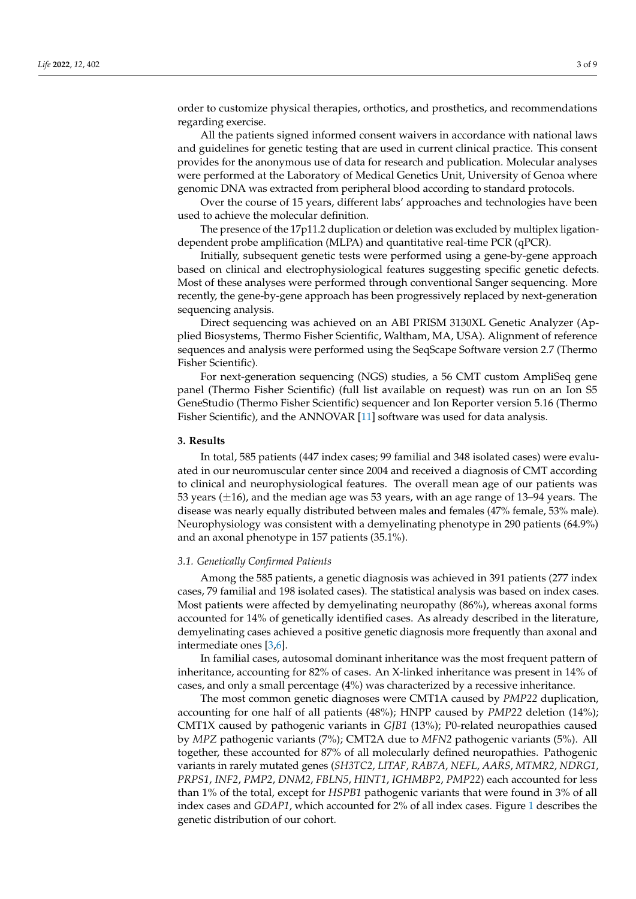order to customize physical therapies, orthotics, and prosthetics, and recommendations regarding exercise.

All the patients signed informed consent waivers in accordance with national laws and guidelines for genetic testing that are used in current clinical practice. This consent provides for the anonymous use of data for research and publication. Molecular analyses were performed at the Laboratory of Medical Genetics Unit, University of Genoa where genomic DNA was extracted from peripheral blood according to standard protocols.

Over the course of 15 years, different labs' approaches and technologies have been used to achieve the molecular definition.

The presence of the 17p11.2 duplication or deletion was excluded by multiplex ligationdependent probe amplification (MLPA) and quantitative real-time PCR (qPCR).

Initially, subsequent genetic tests were performed using a gene-by-gene approach based on clinical and electrophysiological features suggesting specific genetic defects. Most of these analyses were performed through conventional Sanger sequencing. More recently, the gene-by-gene approach has been progressively replaced by next-generation sequencing analysis.

Direct sequencing was achieved on an ABI PRISM 3130XL Genetic Analyzer (Applied Biosystems, Thermo Fisher Scientific, Waltham, MA, USA). Alignment of reference sequences and analysis were performed using the SeqScape Software version 2.7 (Thermo Fisher Scientific).

For next-generation sequencing (NGS) studies, a 56 CMT custom AmpliSeq gene panel (Thermo Fisher Scientific) (full list available on request) was run on an Ion S5 GeneStudio (Thermo Fisher Scientific) sequencer and Ion Reporter version 5.16 (Thermo Fisher Scientific), and the ANNOVAR [\[11\]](#page-6-10) software was used for data analysis.

#### **3. Results**

In total, 585 patients (447 index cases; 99 familial and 348 isolated cases) were evaluated in our neuromuscular center since 2004 and received a diagnosis of CMT according to clinical and neurophysiological features. The overall mean age of our patients was 53 years (±16), and the median age was 53 years, with an age range of 13–94 years. The disease was nearly equally distributed between males and females (47% female, 53% male). Neurophysiology was consistent with a demyelinating phenotype in 290 patients (64.9%) and an axonal phenotype in 157 patients (35.1%).

#### *3.1. Genetically Confirmed Patients*

Among the 585 patients, a genetic diagnosis was achieved in 391 patients (277 index cases, 79 familial and 198 isolated cases). The statistical analysis was based on index cases. Most patients were affected by demyelinating neuropathy (86%), whereas axonal forms accounted for 14% of genetically identified cases. As already described in the literature, demyelinating cases achieved a positive genetic diagnosis more frequently than axonal and intermediate ones [\[3,](#page-6-2)[6\]](#page-6-5).

In familial cases, autosomal dominant inheritance was the most frequent pattern of inheritance, accounting for 82% of cases. An X-linked inheritance was present in 14% of cases, and only a small percentage (4%) was characterized by a recessive inheritance.

The most common genetic diagnoses were CMT1A caused by *PMP22* duplication, accounting for one half of all patients (48%); HNPP caused by *PMP22* deletion (14%); CMT1X caused by pathogenic variants in *GJB1* (13%); P0-related neuropathies caused by *MPZ* pathogenic variants (7%); CMT2A due to *MFN2* pathogenic variants (5%). All together, these accounted for 87% of all molecularly defined neuropathies. Pathogenic variants in rarely mutated genes (*SH3TC2*, *LITAF*, *RAB7A*, *NEFL*, *AARS*, *MTMR2*, *NDRG1*, *PRPS1*, *INF2*, *PMP2*, *DNM2*, *FBLN5*, *HINT1*, *IGHMBP2*, *PMP22*) each accounted for less than 1% of the total, except for *HSPB1* pathogenic variants that were found in 3% of all index cases and *GDAP1*, which accounted for 2% of all index cases. Figure [1](#page-3-0) describes the genetic distribution of our cohort.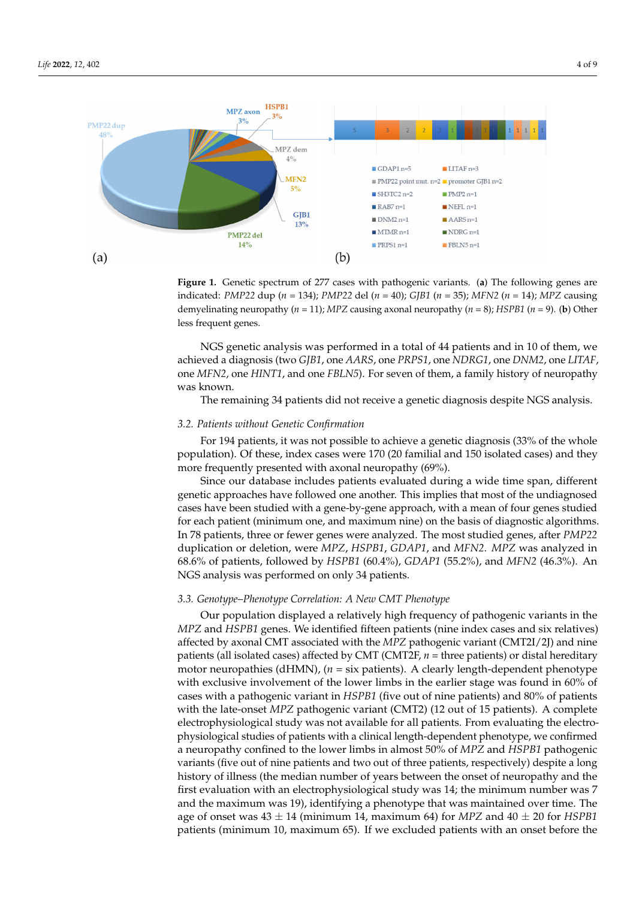

<span id="page-3-0"></span>describes the genetic distribution of our cohort.

**Figure 1.** Genetic spectrum of 277 cases with pathogenic variants. (**a**) The following genes are **Figure 1.** Genetic spectrum of 277 cases with pathogenic variants. (**a**) The following genes are indicated: PMP22 dup ( $n = 134$ ); PMP22 del ( $n = 40$ ); GJB1 ( $n = 35$ ); MFN2 ( $n = 14$ ); MPZ causing demyelinating neuropathy ( $n = 11$ ); MPZ causing axonal neuropathy ( $n = 8$ ); HSPB1 ( $n = 9$ ). (**b**) Other less frequent genes. less frequent genes.

achieved a diagnosis (two *GJB1*, one *AARS*, one *PRPS1*, one *NDRG1*, one *DNM2*, one *LITAF*, one *MFN2*, one *HINT1*, and one *FBLN5*). For seven of them, a family history of neuropathy *LITAFRA*, one *HINT1*, and *MFN<sub>1</sub>*, and *HINT1*, and *FBLN5*<sup>, and</sup> them, a family history of them, a family history of the method, a family history of the method, and the method, a family history of the method, and the NGS genetic analysis was performed in a total of 44 patients and in 10 of them, we was known.

The remaining 34 patients did not receive a genetic diagnosis despite NGS analysis.

# The remaining 34 patients did not receive a genetic diagnosis despite NGS analysis. *3.2. Patients without Genetic Confirmation*

For 194 patients, it was not possible to achieve a genetic diagnosis (33% of the whole For 194 patients, it was not possible to achieve a genetic diagnosis (33% of the whole more frequently presented with axonal neuropathy (69%). population). Of these, index cases were 170 (20 familial and 150 isolated cases) and they

Since our database includes patients evaluated during a wide time span, different genetic approaches have followed one another. This implies that most of the undiagnosed cases have been studied with a gene-by-gene approach, with a mean of four genes studied for each patient (minimum one, and maximum nine) on the basis of diagnostic algorithms. In 78 patients, three or fewer genes were analyzed. The most studied genes, after *PMP22*<br>
In The most studied genes, after *PMP22* duplication or deletion, were *MPZ*, *HSPB1*, *GDAP1*, and *MFN2*. *MPZ* was analyzed in<br>68.6% of nationta fallowed by HSPP1. (60.4%), GDAP1. (55.3%), and *MFN2*. (46.3%), An NGS analysis was performed on only 34 patients. duplication or deletion, were *MPZ*, *HSPB1*, *GDAP1*, and *MFN2*. *MPZ* was analyzed in 68.6% of patients, followed by *HSPB1* (60.4%), *GDAP1* (55.2%), and *MFN2* (46.3%). An

### 68.6% of patients, followed by *HSPB1* (60.4%), *GDAP1* (55.2%), and *MFN2* (46.3%). An *3.3. Genotype–Phenotype Correlation: A New CMT Phenotype*

Our population displayed a relatively high frequency of pathogenic variants in the affected by axonal CMT associated with the *MPZ* pathogenic variant (CMT2I/2J) and nine patients (an isolated eases) anceled by CMT (CMT21, *n* = three patients) of distant in the matrix motor neuropathies (dHMN), (*n* = six patients). A clearly length-dependent phenotype with exclusive involvement of the lower limbs in the earlier stage was found in 60% of cases with a pathogenic variant in *HSPB1* (five out of nine patients) and 80% of patients with the late-onset *MPZ* pathogenic variant (CMT2) (12 out of 15 patients). A complete electrophysiological study was not available for all patients. From evaluating the electrophysiological studies of patients with a clinical length-dependent phenotype, we confirmed *MPZ* and *HSPB1* genes. We identified fifteen patients (nine index cases and six relatives) patients (all isolated cases) affected by CMT (CMT2F, *n* = three patients) or distal hereditary a neuropathy confined to the lower limbs in almost 50% of *MPZ* and *HSPB1* pathogenic variants (five out of nine patients and two out of three patients, respectively) despite a long history of illness (the median number of years between the onset of neuropathy and the first evaluation with an electrophysiological study was 14; the minimum number was 7 and the maximum was 19), identifying a phenotype that was maintained over time. The age of onset was 43 ± 14 (minimum 14, maximum 64) for *MPZ* and 40 ± 20 for *HSPB1* patients (minimum 10, maximum 65). If we excluded patients with an onset before the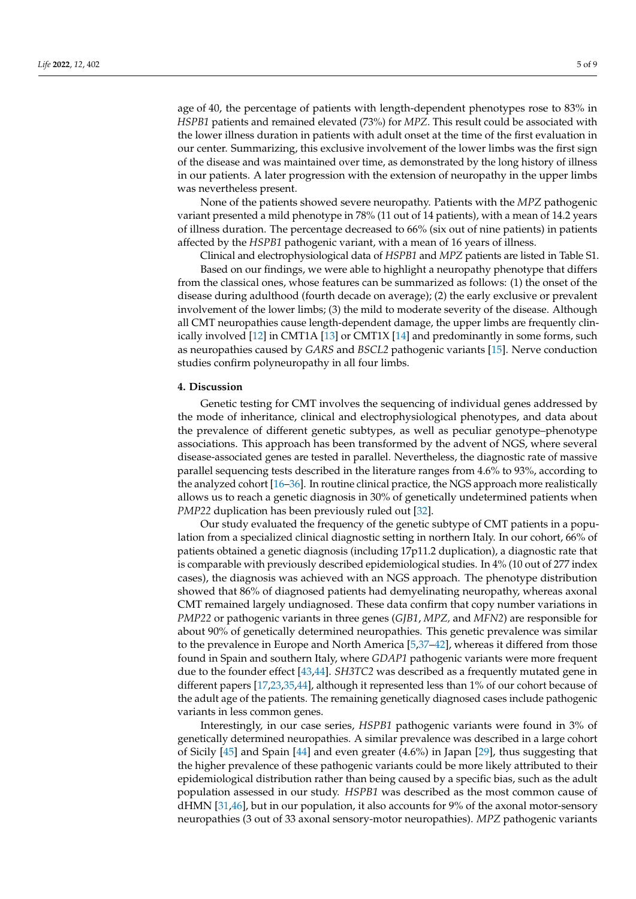age of 40, the percentage of patients with length-dependent phenotypes rose to 83% in *HSPB1* patients and remained elevated (73%) for *MPZ*. This result could be associated with the lower illness duration in patients with adult onset at the time of the first evaluation in our center. Summarizing, this exclusive involvement of the lower limbs was the first sign of the disease and was maintained over time, as demonstrated by the long history of illness in our patients. A later progression with the extension of neuropathy in the upper limbs was nevertheless present.

None of the patients showed severe neuropathy. Patients with the *MPZ* pathogenic variant presented a mild phenotype in 78% (11 out of 14 patients), with a mean of 14.2 years of illness duration. The percentage decreased to 66% (six out of nine patients) in patients affected by the *HSPB1* pathogenic variant, with a mean of 16 years of illness.

Clinical and electrophysiological data of *HSPB1* and *MPZ* patients are listed in Table S1. Based on our findings, we were able to highlight a neuropathy phenotype that differs from the classical ones, whose features can be summarized as follows: (1) the onset of the disease during adulthood (fourth decade on average); (2) the early exclusive or prevalent involvement of the lower limbs; (3) the mild to moderate severity of the disease. Although all CMT neuropathies cause length-dependent damage, the upper limbs are frequently clinically involved [\[12\]](#page-6-11) in CMT1A [\[13\]](#page-6-12) or CMT1X [\[14\]](#page-6-13) and predominantly in some forms, such as neuropathies caused by *GARS* and *BSCL2* pathogenic variants [\[15\]](#page-6-14). Nerve conduction studies confirm polyneuropathy in all four limbs.

#### **4. Discussion**

Genetic testing for CMT involves the sequencing of individual genes addressed by the mode of inheritance, clinical and electrophysiological phenotypes, and data about the prevalence of different genetic subtypes, as well as peculiar genotype–phenotype associations. This approach has been transformed by the advent of NGS, where several disease-associated genes are tested in parallel. Nevertheless, the diagnostic rate of massive parallel sequencing tests described in the literature ranges from 4.6% to 93%, according to the analyzed cohort [\[16](#page-6-15)[–36\]](#page-7-0). In routine clinical practice, the NGS approach more realistically allows us to reach a genetic diagnosis in 30% of genetically undetermined patients when *PMP22* duplication has been previously ruled out [\[32\]](#page-7-1).

Our study evaluated the frequency of the genetic subtype of CMT patients in a population from a specialized clinical diagnostic setting in northern Italy. In our cohort, 66% of patients obtained a genetic diagnosis (including 17p11.2 duplication), a diagnostic rate that is comparable with previously described epidemiological studies. In 4% (10 out of 277 index cases), the diagnosis was achieved with an NGS approach. The phenotype distribution showed that 86% of diagnosed patients had demyelinating neuropathy, whereas axonal CMT remained largely undiagnosed. These data confirm that copy number variations in *PMP22* or pathogenic variants in three genes (*GJB1*, *MPZ,* and *MFN2*) are responsible for about 90% of genetically determined neuropathies. This genetic prevalence was similar to the prevalence in Europe and North America [\[5](#page-6-4)[,37–](#page-7-2)[42\]](#page-7-3), whereas it differed from those found in Spain and southern Italy, where *GDAP1* pathogenic variants were more frequent due to the founder effect [\[43](#page-7-4)[,44\]](#page-7-5). *SH3TC2* was described as a frequently mutated gene in different papers [\[17](#page-6-16)[,23](#page-7-6)[,35,](#page-7-7)[44\]](#page-7-5), although it represented less than 1% of our cohort because of the adult age of the patients. The remaining genetically diagnosed cases include pathogenic variants in less common genes.

Interestingly, in our case series, *HSPB1* pathogenic variants were found in 3% of genetically determined neuropathies. A similar prevalence was described in a large cohort of Sicily [\[45\]](#page-8-0) and Spain [\[44\]](#page-7-5) and even greater (4.6%) in Japan [\[29\]](#page-7-8), thus suggesting that the higher prevalence of these pathogenic variants could be more likely attributed to their epidemiological distribution rather than being caused by a specific bias, such as the adult population assessed in our study. *HSPB1* was described as the most common cause of dHMN [\[31](#page-7-9)[,46\]](#page-8-1), but in our population, it also accounts for 9% of the axonal motor-sensory neuropathies (3 out of 33 axonal sensory-motor neuropathies). *MPZ* pathogenic variants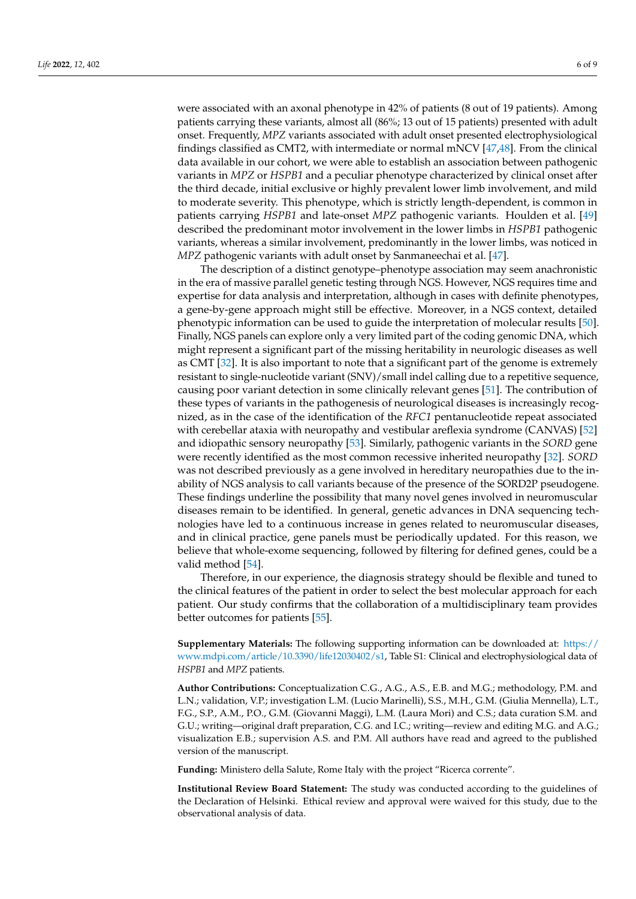were associated with an axonal phenotype in 42% of patients (8 out of 19 patients). Among patients carrying these variants, almost all (86%; 13 out of 15 patients) presented with adult onset. Frequently, *MPZ* variants associated with adult onset presented electrophysiological findings classified as CMT2, with intermediate or normal mNCV [\[47](#page-8-2)[,48\]](#page-8-3). From the clinical data available in our cohort, we were able to establish an association between pathogenic variants in *MPZ* or *HSPB1* and a peculiar phenotype characterized by clinical onset after the third decade, initial exclusive or highly prevalent lower limb involvement, and mild to moderate severity. This phenotype, which is strictly length-dependent, is common in patients carrying *HSPB1* and late-onset *MPZ* pathogenic variants. Houlden et al. [\[49\]](#page-8-4) described the predominant motor involvement in the lower limbs in *HSPB1* pathogenic variants, whereas a similar involvement, predominantly in the lower limbs, was noticed in *MPZ* pathogenic variants with adult onset by Sanmaneechai et al. [\[47\]](#page-8-2).

The description of a distinct genotype–phenotype association may seem anachronistic in the era of massive parallel genetic testing through NGS. However, NGS requires time and expertise for data analysis and interpretation, although in cases with definite phenotypes, a gene-by-gene approach might still be effective. Moreover, in a NGS context, detailed phenotypic information can be used to guide the interpretation of molecular results [\[50\]](#page-8-5). Finally, NGS panels can explore only a very limited part of the coding genomic DNA, which might represent a significant part of the missing heritability in neurologic diseases as well as CMT [\[32\]](#page-7-1). It is also important to note that a significant part of the genome is extremely resistant to single-nucleotide variant (SNV)/small indel calling due to a repetitive sequence, causing poor variant detection in some clinically relevant genes [\[51\]](#page-8-6). The contribution of these types of variants in the pathogenesis of neurological diseases is increasingly recognized, as in the case of the identification of the *RFC1* pentanucleotide repeat associated with cerebellar ataxia with neuropathy and vestibular areflexia syndrome (CANVAS) [\[52\]](#page-8-7) and idiopathic sensory neuropathy [\[53\]](#page-8-8). Similarly, pathogenic variants in the *SORD* gene were recently identified as the most common recessive inherited neuropathy [\[32\]](#page-7-1). *SORD* was not described previously as a gene involved in hereditary neuropathies due to the inability of NGS analysis to call variants because of the presence of the SORD2P pseudogene. These findings underline the possibility that many novel genes involved in neuromuscular diseases remain to be identified. In general, genetic advances in DNA sequencing technologies have led to a continuous increase in genes related to neuromuscular diseases, and in clinical practice, gene panels must be periodically updated. For this reason, we believe that whole-exome sequencing, followed by filtering for defined genes, could be a valid method [\[54\]](#page-8-9).

Therefore, in our experience, the diagnosis strategy should be flexible and tuned to the clinical features of the patient in order to select the best molecular approach for each patient. Our study confirms that the collaboration of a multidisciplinary team provides better outcomes for patients [\[55\]](#page-8-10).

**Supplementary Materials:** The following supporting information can be downloaded at: [https://](https://www.mdpi.com/article/10.3390/life12030402/s1) [www.mdpi.com/article/10.3390/life12030402/s1,](https://www.mdpi.com/article/10.3390/life12030402/s1) Table S1: Clinical and electrophysiological data of *HSPB1* and *MPZ* patients.

**Author Contributions:** Conceptualization C.G., A.G., A.S., E.B. and M.G.; methodology, P.M. and L.N.; validation, V.P.; investigation L.M. (Lucio Marinelli), S.S., M.H., G.M. (Giulia Mennella), L.T., F.G., S.P., A.M., P.O., G.M. (Giovanni Maggi), L.M. (Laura Mori) and C.S.; data curation S.M. and G.U.; writing—original draft preparation, C.G. and I.C.; writing—review and editing M.G. and A.G.; visualization E.B.; supervision A.S. and P.M. All authors have read and agreed to the published version of the manuscript.

**Funding:** Ministero della Salute, Rome Italy with the project "Ricerca corrente".

**Institutional Review Board Statement:** The study was conducted according to the guidelines of the Declaration of Helsinki. Ethical review and approval were waived for this study, due to the observational analysis of data.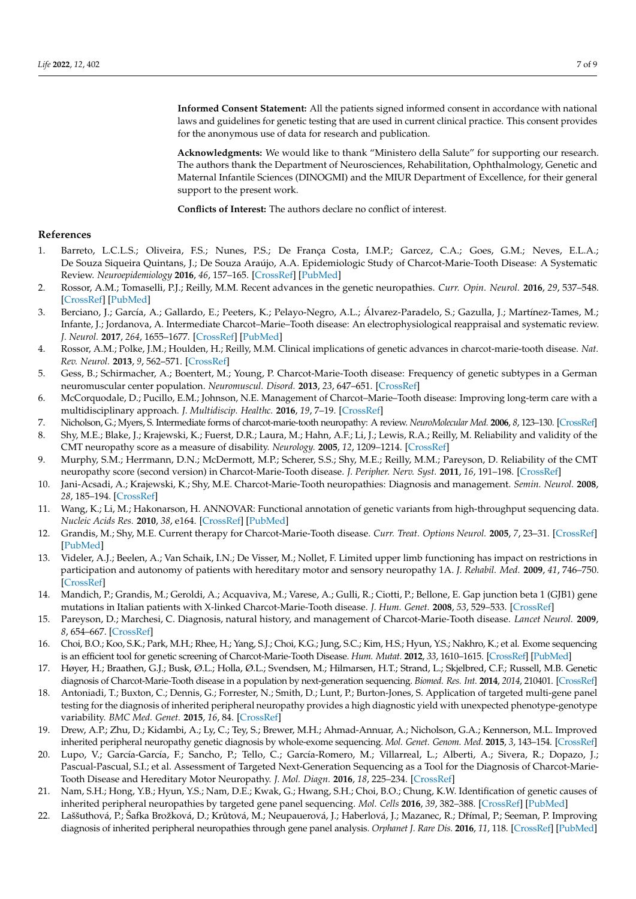**Informed Consent Statement:** All the patients signed informed consent in accordance with national laws and guidelines for genetic testing that are used in current clinical practice. This consent provides for the anonymous use of data for research and publication.

**Acknowledgments:** We would like to thank "Ministero della Salute" for supporting our research. The authors thank the Department of Neurosciences, Rehabilitation, Ophthalmology, Genetic and Maternal Infantile Sciences (DINOGMI) and the MIUR Department of Excellence, for their general support to the present work.

**Conflicts of Interest:** The authors declare no conflict of interest.

#### **References**

- <span id="page-6-0"></span>1. Barreto, L.C.L.S.; Oliveira, F.S.; Nunes, P.S.; De França Costa, I.M.P.; Garcez, C.A.; Goes, G.M.; Neves, E.L.A.; De Souza Siqueira Quintans, J.; De Souza Araújo, A.A. Epidemiologic Study of Charcot-Marie-Tooth Disease: A Systematic Review. *Neuroepidemiology* **2016**, *46*, 157–165. [\[CrossRef\]](http://doi.org/10.1159/000443706) [\[PubMed\]](http://www.ncbi.nlm.nih.gov/pubmed/26849231)
- <span id="page-6-1"></span>2. Rossor, A.M.; Tomaselli, P.J.; Reilly, M.M. Recent advances in the genetic neuropathies. *Curr. Opin. Neurol.* **2016**, *29*, 537–548. [\[CrossRef\]](http://doi.org/10.1097/WCO.0000000000000373) [\[PubMed\]](http://www.ncbi.nlm.nih.gov/pubmed/27584852)
- <span id="page-6-2"></span>3. Berciano, J.; García, A.; Gallardo, E.; Peeters, K.; Pelayo-Negro, A.L.; Álvarez-Paradelo, S.; Gazulla, J.; Martínez-Tames, M.; Infante, J.; Jordanova, A. Intermediate Charcot–Marie–Tooth disease: An electrophysiological reappraisal and systematic review. *J. Neurol.* **2017**, *264*, 1655–1677. [\[CrossRef\]](http://doi.org/10.1007/s00415-017-8474-3) [\[PubMed\]](http://www.ncbi.nlm.nih.gov/pubmed/28364294)
- <span id="page-6-3"></span>4. Rossor, A.M.; Polke, J.M.; Houlden, H.; Reilly, M.M. Clinical implications of genetic advances in charcot-marie-tooth disease. *Nat. Rev. Neurol.* **2013**, *9*, 562–571. [\[CrossRef\]](http://doi.org/10.1038/nrneurol.2013.179)
- <span id="page-6-4"></span>5. Gess, B.; Schirmacher, A.; Boentert, M.; Young, P. Charcot-Marie-Tooth disease: Frequency of genetic subtypes in a German neuromuscular center population. *Neuromuscul. Disord.* **2013**, *23*, 647–651. [\[CrossRef\]](http://doi.org/10.1016/j.nmd.2013.05.005)
- <span id="page-6-5"></span>6. McCorquodale, D.; Pucillo, E.M.; Johnson, N.E. Management of Charcot–Marie–Tooth disease: Improving long-term care with a multidisciplinary approach. *J. Multidiscip. Healthc.* **2016**, *19*, 7–19. [\[CrossRef\]](http://doi.org/10.2147/JMDH.S69979)
- <span id="page-6-6"></span>7. Nicholson, G.; Myers, S. Intermediate forms of charcot-marie-tooth neuropathy: A review. *NeuroMolecular Med.* **2006**, *8*, 123–130. [\[CrossRef\]](http://doi.org/10.1385/NMM:8:1-2:123)
- <span id="page-6-7"></span>8. Shy, M.E.; Blake, J.; Krajewski, K.; Fuerst, D.R.; Laura, M.; Hahn, A.F.; Li, J.; Lewis, R.A.; Reilly, M. Reliability and validity of the CMT neuropathy score as a measure of disability. *Neurology.* **2005**, *12*, 1209–1214. [\[CrossRef\]](http://doi.org/10.1212/01.WNL.0000156517.00615.A3)
- <span id="page-6-8"></span>9. Murphy, S.M.; Herrmann, D.N.; McDermott, M.P.; Scherer, S.S.; Shy, M.E.; Reilly, M.M.; Pareyson, D. Reliability of the CMT neuropathy score (second version) in Charcot-Marie-Tooth disease. *J. Peripher. Nerv. Syst.* **2011**, *16*, 191–198. [\[CrossRef\]](http://doi.org/10.1111/j.1529-8027.2011.00350.x)
- <span id="page-6-9"></span>10. Jani-Acsadi, A.; Krajewski, K.; Shy, M.E. Charcot-Marie-Tooth neuropathies: Diagnosis and management. *Semin. Neurol.* **2008**, *28*, 185–194. [\[CrossRef\]](http://doi.org/10.1055/s-2008-1062264)
- <span id="page-6-10"></span>11. Wang, K.; Li, M.; Hakonarson, H. ANNOVAR: Functional annotation of genetic variants from high-throughput sequencing data. *Nucleic Acids Res.* **2010**, *38*, e164. [\[CrossRef\]](http://doi.org/10.1093/nar/gkq603) [\[PubMed\]](http://www.ncbi.nlm.nih.gov/pubmed/20601685)
- <span id="page-6-11"></span>12. Grandis, M.; Shy, M.E. Current therapy for Charcot-Marie-Tooth disease. *Curr. Treat. Options Neurol.* **2005**, *7*, 23–31. [\[CrossRef\]](http://doi.org/10.1007/s11940-005-0003-5) [\[PubMed\]](http://www.ncbi.nlm.nih.gov/pubmed/15610704)
- <span id="page-6-12"></span>13. Videler, A.J.; Beelen, A.; Van Schaik, I.N.; De Visser, M.; Nollet, F. Limited upper limb functioning has impact on restrictions in participation and autonomy of patients with hereditary motor and sensory neuropathy 1A. *J. Rehabil. Med.* **2009**, *41*, 746–750. [\[CrossRef\]](http://doi.org/10.2340/16501977-0419)
- <span id="page-6-13"></span>14. Mandich, P.; Grandis, M.; Geroldi, A.; Acquaviva, M.; Varese, A.; Gulli, R.; Ciotti, P.; Bellone, E. Gap junction beta 1 (GJB1) gene mutations in Italian patients with X-linked Charcot-Marie-Tooth disease. *J. Hum. Genet.* **2008**, *53*, 529–533. [\[CrossRef\]](http://doi.org/10.1007/s10038-008-0280-4)
- <span id="page-6-14"></span>15. Pareyson, D.; Marchesi, C. Diagnosis, natural history, and management of Charcot-Marie-Tooth disease. *Lancet Neurol.* **2009**, *8*, 654–667. [\[CrossRef\]](http://doi.org/10.1016/S1474-4422(09)70110-3)
- <span id="page-6-15"></span>16. Choi, B.O.; Koo, S.K.; Park, M.H.; Rhee, H.; Yang, S.J.; Choi, K.G.; Jung, S.C.; Kim, H.S.; Hyun, Y.S.; Nakhro, K.; et al. Exome sequencing is an efficient tool for genetic screening of Charcot-Marie-Tooth Disease. *Hum. Mutat.* **2012**, *33*, 1610–1615. [\[CrossRef\]](http://doi.org/10.1002/humu.22143) [\[PubMed\]](http://www.ncbi.nlm.nih.gov/pubmed/22730194)
- <span id="page-6-16"></span>17. Høyer, H.; Braathen, G.J.; Busk, Ø.L.; Holla, Ø.L.; Svendsen, M.; Hilmarsen, H.T.; Strand, L.; Skjelbred, C.F.; Russell, M.B. Genetic diagnosis of Charcot-Marie-Tooth disease in a population by next-generation sequencing. *Biomed. Res. Int.* **2014**, *2014*, 210401. [\[CrossRef\]](http://doi.org/10.1155/2014/210401)
- 18. Antoniadi, T.; Buxton, C.; Dennis, G.; Forrester, N.; Smith, D.; Lunt, P.; Burton-Jones, S. Application of targeted multi-gene panel testing for the diagnosis of inherited peripheral neuropathy provides a high diagnostic yield with unexpected phenotype-genotype variability. *BMC Med. Genet.* **2015**, *16*, 84. [\[CrossRef\]](http://doi.org/10.1186/s12881-015-0224-8)
- 19. Drew, A.P.; Zhu, D.; Kidambi, A.; Ly, C.; Tey, S.; Brewer, M.H.; Ahmad-Annuar, A.; Nicholson, G.A.; Kennerson, M.L. Improved inherited peripheral neuropathy genetic diagnosis by whole-exome sequencing. *Mol. Genet. Genom. Med.* **2015**, *3*, 143–154. [\[CrossRef\]](http://doi.org/10.1002/mgg3.126)
- 20. Lupo, V.; García-García, F.; Sancho, P.; Tello, C.; García-Romero, M.; Villarreal, L.; Alberti, A.; Sivera, R.; Dopazo, J.; Pascual-Pascual, S.I.; et al. Assessment of Targeted Next-Generation Sequencing as a Tool for the Diagnosis of Charcot-Marie-Tooth Disease and Hereditary Motor Neuropathy. *J. Mol. Diagn.* **2016**, *18*, 225–234. [\[CrossRef\]](http://doi.org/10.1016/j.jmoldx.2015.10.005)
- 21. Nam, S.H.; Hong, Y.B.; Hyun, Y.S.; Nam, D.E.; Kwak, G.; Hwang, S.H.; Choi, B.O.; Chung, K.W. Identification of genetic causes of inherited peripheral neuropathies by targeted gene panel sequencing. *Mol. Cells* **2016**, *39*, 382–388. [\[CrossRef\]](http://doi.org/10.14348/molcells.2016.2288) [\[PubMed\]](http://www.ncbi.nlm.nih.gov/pubmed/27025386)
- 22. Laššuthová, P.; Šafka Brožková, D.; Krůtová, M.; Neupauerová, J.; Haberlová, J.; Mazanec, R.; Dřímal, P.; Seeman, P. Improving diagnosis of inherited peripheral neuropathies through gene panel analysis. *Orphanet J. Rare Dis.* **2016**, *11*, 118. [\[CrossRef\]](http://doi.org/10.1186/s13023-016-0500-5) [\[PubMed\]](http://www.ncbi.nlm.nih.gov/pubmed/27549087)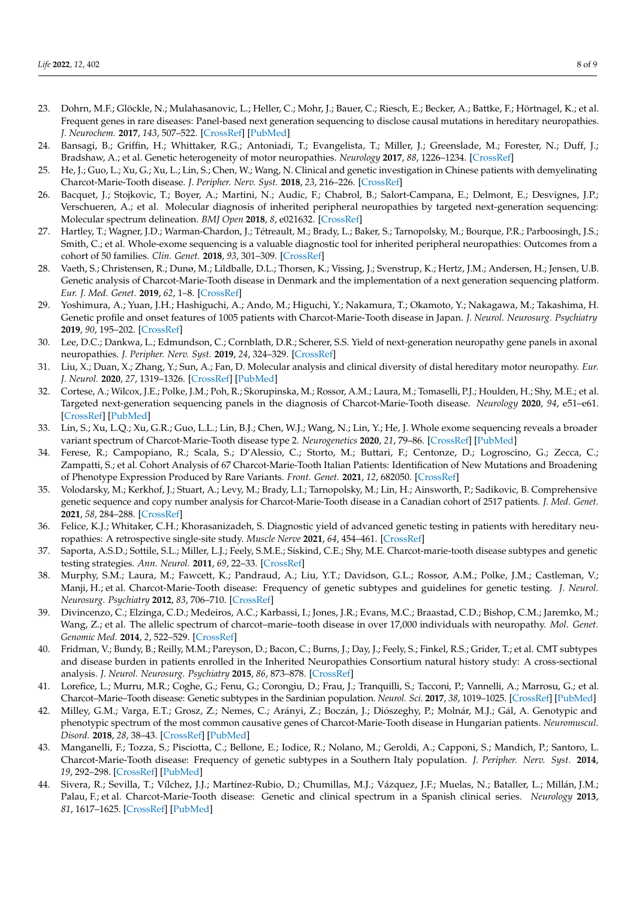- <span id="page-7-6"></span>23. Dohrn, M.F.; Glöckle, N.; Mulahasanovic, L.; Heller, C.; Mohr, J.; Bauer, C.; Riesch, E.; Becker, A.; Battke, F.; Hörtnagel, K.; et al. Frequent genes in rare diseases: Panel-based next generation sequencing to disclose causal mutations in hereditary neuropathies. *J. Neurochem.* **2017**, *143*, 507–522. [\[CrossRef\]](http://doi.org/10.1111/jnc.14217) [\[PubMed\]](http://www.ncbi.nlm.nih.gov/pubmed/28902413)
- 24. Bansagi, B.; Griffin, H.; Whittaker, R.G.; Antoniadi, T.; Evangelista, T.; Miller, J.; Greenslade, M.; Forester, N.; Duff, J.; Bradshaw, A.; et al. Genetic heterogeneity of motor neuropathies. *Neurology* **2017**, *88*, 1226–1234. [\[CrossRef\]](http://doi.org/10.1212/WNL.0000000000003772)
- 25. He, J.; Guo, L.; Xu, G.; Xu, L.; Lin, S.; Chen, W.; Wang, N. Clinical and genetic investigation in Chinese patients with demyelinating Charcot-Marie-Tooth disease. *J. Peripher. Nerv. Syst.* **2018**, *23*, 216–226. [\[CrossRef\]](http://doi.org/10.1111/jns.12277)
- 26. Bacquet, J.; Stojkovic, T.; Boyer, A.; Martini, N.; Audic, F.; Chabrol, B.; Salort-Campana, E.; Delmont, E.; Desvignes, J.P.; Verschueren, A.; et al. Molecular diagnosis of inherited peripheral neuropathies by targeted next-generation sequencing: Molecular spectrum delineation. *BMJ Open* **2018**, *8*, e021632. [\[CrossRef\]](http://doi.org/10.1136/bmjopen-2018-021632)
- 27. Hartley, T.; Wagner, J.D.; Warman-Chardon, J.; Tétreault, M.; Brady, L.; Baker, S.; Tarnopolsky, M.; Bourque, P.R.; Parboosingh, J.S.; Smith, C.; et al. Whole-exome sequencing is a valuable diagnostic tool for inherited peripheral neuropathies: Outcomes from a cohort of 50 families. *Clin. Genet.* **2018**, *93*, 301–309. [\[CrossRef\]](http://doi.org/10.1111/cge.13101)
- 28. Vaeth, S.; Christensen, R.; Dunø, M.; Lildballe, D.L.; Thorsen, K.; Vissing, J.; Svenstrup, K.; Hertz, J.M.; Andersen, H.; Jensen, U.B. Genetic analysis of Charcot-Marie-Tooth disease in Denmark and the implementation of a next generation sequencing platform. *Eur. J. Med. Genet.* **2019**, *62*, 1–8. [\[CrossRef\]](http://doi.org/10.1016/j.ejmg.2018.04.003)
- <span id="page-7-8"></span>29. Yoshimura, A.; Yuan, J.H.; Hashiguchi, A.; Ando, M.; Higuchi, Y.; Nakamura, T.; Okamoto, Y.; Nakagawa, M.; Takashima, H. Genetic profile and onset features of 1005 patients with Charcot-Marie-Tooth disease in Japan. *J. Neurol. Neurosurg. Psychiatry* **2019**, *90*, 195–202. [\[CrossRef\]](http://doi.org/10.1136/jnnp-2018-318839)
- 30. Lee, D.C.; Dankwa, L.; Edmundson, C.; Cornblath, D.R.; Scherer, S.S. Yield of next-generation neuropathy gene panels in axonal neuropathies. *J. Peripher. Nerv. Syst.* **2019**, *24*, 324–329. [\[CrossRef\]](http://doi.org/10.1111/jns.12356)
- <span id="page-7-9"></span>31. Liu, X.; Duan, X.; Zhang, Y.; Sun, A.; Fan, D. Molecular analysis and clinical diversity of distal hereditary motor neuropathy. *Eur. J. Neurol.* **2020**, *27*, 1319–1326. [\[CrossRef\]](http://doi.org/10.1111/ene.14260) [\[PubMed\]](http://www.ncbi.nlm.nih.gov/pubmed/32298515)
- <span id="page-7-1"></span>32. Cortese, A.; Wilcox, J.E.; Polke, J.M.; Poh, R.; Skorupinska, M.; Rossor, A.M.; Laura, M.; Tomaselli, P.J.; Houlden, H.; Shy, M.E.; et al. Targeted next-generation sequencing panels in the diagnosis of Charcot-Marie-Tooth disease. *Neurology* **2020**, *94*, e51–e61. [\[CrossRef\]](http://doi.org/10.1212/WNL.0000000000008672) [\[PubMed\]](http://www.ncbi.nlm.nih.gov/pubmed/31827005)
- 33. Lin, S.; Xu, L.Q.; Xu, G.R.; Guo, L.L.; Lin, B.J.; Chen, W.J.; Wang, N.; Lin, Y.; He, J. Whole exome sequencing reveals a broader variant spectrum of Charcot-Marie-Tooth disease type 2. *Neurogenetics* **2020**, *21*, 79–86. [\[CrossRef\]](http://doi.org/10.1007/s10048-019-00591-4) [\[PubMed\]](http://www.ncbi.nlm.nih.gov/pubmed/31832804)
- 34. Ferese, R.; Campopiano, R.; Scala, S.; D'Alessio, C.; Storto, M.; Buttari, F.; Centonze, D.; Logroscino, G.; Zecca, C.; Zampatti, S.; et al. Cohort Analysis of 67 Charcot-Marie-Tooth Italian Patients: Identification of New Mutations and Broadening of Phenotype Expression Produced by Rare Variants. *Front. Genet.* **2021**, *12*, 682050. [\[CrossRef\]](http://doi.org/10.3389/fgene.2021.682050)
- <span id="page-7-7"></span>35. Volodarsky, M.; Kerkhof, J.; Stuart, A.; Levy, M.; Brady, L.I.; Tarnopolsky, M.; Lin, H.; Ainsworth, P.; Sadikovic, B. Comprehensive genetic sequence and copy number analysis for Charcot-Marie-Tooth disease in a Canadian cohort of 2517 patients. *J. Med. Genet.* **2021**, *58*, 284–288. [\[CrossRef\]](http://doi.org/10.1136/jmedgenet-2019-106641)
- <span id="page-7-0"></span>36. Felice, K.J.; Whitaker, C.H.; Khorasanizadeh, S. Diagnostic yield of advanced genetic testing in patients with hereditary neuropathies: A retrospective single-site study. *Muscle Nerve* **2021**, *64*, 454–461. [\[CrossRef\]](http://doi.org/10.1002/mus.27368)
- <span id="page-7-2"></span>37. Saporta, A.S.D.; Sottile, S.L.; Miller, L.J.; Feely, S.M.E.; Siskind, C.E.; Shy, M.E. Charcot-marie-tooth disease subtypes and genetic testing strategies. *Ann. Neurol.* **2011**, *69*, 22–33. [\[CrossRef\]](http://doi.org/10.1002/ana.22166)
- 38. Murphy, S.M.; Laura, M.; Fawcett, K.; Pandraud, A.; Liu, Y.T.; Davidson, G.L.; Rossor, A.M.; Polke, J.M.; Castleman, V.; Manji, H.; et al. Charcot-Marie-Tooth disease: Frequency of genetic subtypes and guidelines for genetic testing. *J. Neurol. Neurosurg. Psychiatry* **2012**, *83*, 706–710. [\[CrossRef\]](http://doi.org/10.1136/jnnp-2012-302451)
- 39. Divincenzo, C.; Elzinga, C.D.; Medeiros, A.C.; Karbassi, I.; Jones, J.R.; Evans, M.C.; Braastad, C.D.; Bishop, C.M.; Jaremko, M.; Wang, Z.; et al. The allelic spectrum of charcot–marie–tooth disease in over 17,000 individuals with neuropathy. *Mol. Genet. Genomic Med.* **2014**, *2*, 522–529. [\[CrossRef\]](http://doi.org/10.1002/mgg3.106)
- 40. Fridman, V.; Bundy, B.; Reilly, M.M.; Pareyson, D.; Bacon, C.; Burns, J.; Day, J.; Feely, S.; Finkel, R.S.; Grider, T.; et al. CMT subtypes and disease burden in patients enrolled in the Inherited Neuropathies Consortium natural history study: A cross-sectional analysis. *J. Neurol. Neurosurg. Psychiatry* **2015**, *86*, 873–878. [\[CrossRef\]](http://doi.org/10.1136/jnnp-2014-308826)
- 41. Lorefice, L.; Murru, M.R.; Coghe, G.; Fenu, G.; Corongiu, D.; Frau, J.; Tranquilli, S.; Tacconi, P.; Vannelli, A.; Marrosu, G.; et al. Charcot–Marie–Tooth disease: Genetic subtypes in the Sardinian population. *Neurol. Sci.* **2017**, *38*, 1019–1025. [\[CrossRef\]](http://doi.org/10.1007/s10072-017-2905-x) [\[PubMed\]](http://www.ncbi.nlm.nih.gov/pubmed/28286897)
- <span id="page-7-3"></span>42. Milley, G.M.; Varga, E.T.; Grosz, Z.; Nemes, C.; Arányi, Z.; Boczán, J.; Diószeghy, P.; Molnár, M.J.; Gál, A. Genotypic and phenotypic spectrum of the most common causative genes of Charcot-Marie-Tooth disease in Hungarian patients. *Neuromuscul. Disord.* **2018**, *28*, 38–43. [\[CrossRef\]](http://doi.org/10.1016/j.nmd.2017.08.007) [\[PubMed\]](http://www.ncbi.nlm.nih.gov/pubmed/29174527)
- <span id="page-7-4"></span>43. Manganelli, F.; Tozza, S.; Pisciotta, C.; Bellone, E.; Iodice, R.; Nolano, M.; Geroldi, A.; Capponi, S.; Mandich, P.; Santoro, L. Charcot-Marie-Tooth disease: Frequency of genetic subtypes in a Southern Italy population. *J. Peripher. Nerv. Syst.* **2014**, *19*, 292–298. [\[CrossRef\]](http://doi.org/10.1111/jns.12092) [\[PubMed\]](http://www.ncbi.nlm.nih.gov/pubmed/25429913)
- <span id="page-7-5"></span>44. Sivera, R.; Sevilla, T.; Vílchez, J.J.; Martínez-Rubio, D.; Chumillas, M.J.; Vázquez, J.F.; Muelas, N.; Bataller, L.; Millán, J.M.; Palau, F.; et al. Charcot-Marie-Tooth disease: Genetic and clinical spectrum in a Spanish clinical series. *Neurology* **2013**, *81*, 1617–1625. [\[CrossRef\]](http://doi.org/10.1212/WNL.0b013e3182a9f56a) [\[PubMed\]](http://www.ncbi.nlm.nih.gov/pubmed/24078732)